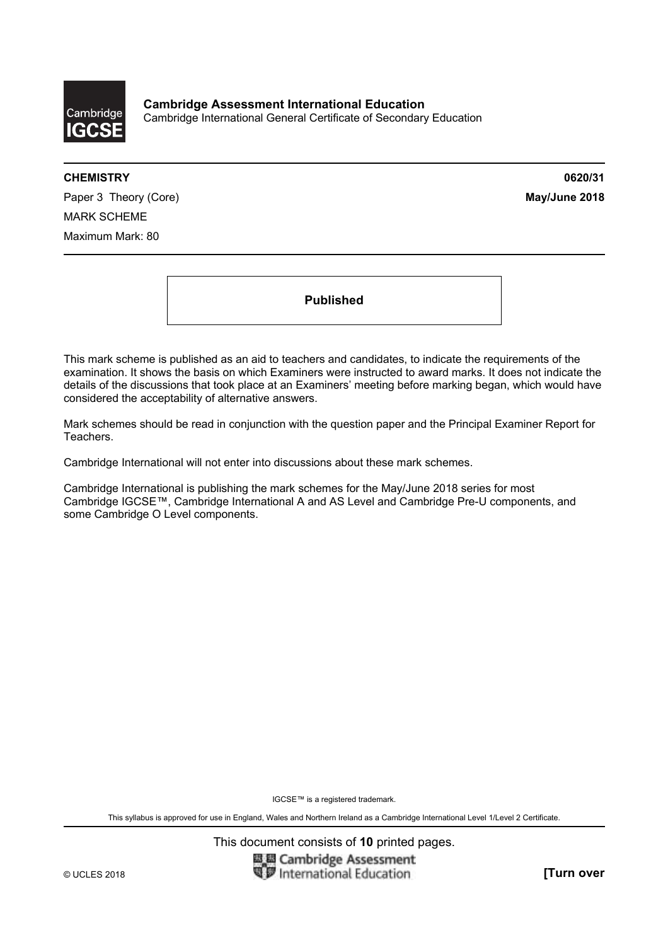

**Cambridge Assessment International Education**  Cambridge International General Certificate of Secondary Education

**CHEMISTRY 0620/31** 

Paper 3 Theory (Core) **May/June 2018** MARK SCHEME Maximum Mark: 80

**Published** 

This mark scheme is published as an aid to teachers and candidates, to indicate the requirements of the examination. It shows the basis on which Examiners were instructed to award marks. It does not indicate the details of the discussions that took place at an Examiners' meeting before marking began, which would have considered the acceptability of alternative answers.

Mark schemes should be read in conjunction with the question paper and the Principal Examiner Report for Teachers.

Cambridge International will not enter into discussions about these mark schemes.

Cambridge International is publishing the mark schemes for the May/June 2018 series for most Cambridge IGCSE™, Cambridge International A and AS Level and Cambridge Pre-U components, and some Cambridge O Level components.

IGCSE™ is a registered trademark.

This syllabus is approved for use in England, Wales and Northern Ireland as a Cambridge International Level 1/Level 2 Certificate.

This document consists of **10** printed pages. **图图 Cambridge Assessment**<br>© UCLES 2018 **1999 The Post Connect Education connect and Details and Details and Details and Details and Details a**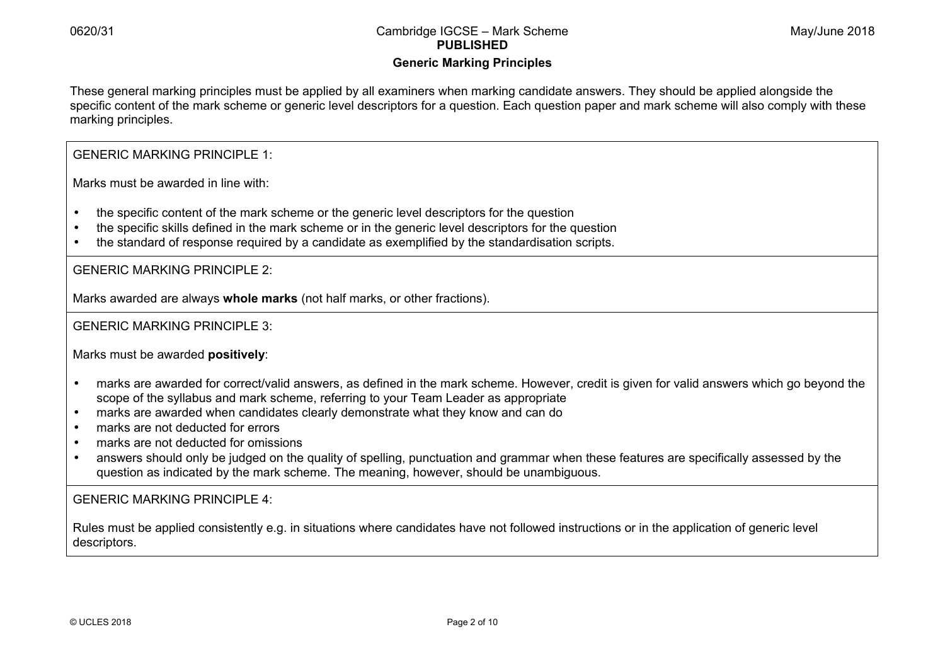# **Generic Marking Principles**

These general marking principles must be applied by all examiners when marking candidate answers. They should be applied alongside the specific content of the mark scheme or generic level descriptors for a question. Each question paper and mark scheme will also comply with these marking principles.

GENERIC MARKING PRINCIPLE 1:

Marks must be awarded in line with:

- the specific content of the mark scheme or the generic level descriptors for the question
- the specific skills defined in the mark scheme or in the generic level descriptors for the question
- the standard of response required by a candidate as exemplified by the standardisation scripts.

GENERIC MARKING PRINCIPLE 2:

Marks awarded are always **whole marks** (not half marks, or other fractions).

GENERIC MARKING PRINCIPLE 3:

Marks must be awarded **positively**:

- marks are awarded for correct/valid answers, as defined in the mark scheme. However, credit is given for valid answers which go beyond the scope of the syllabus and mark scheme, referring to your Team Leader as appropriate
- marks are awarded when candidates clearly demonstrate what they know and can do
- marks are not deducted for errors
- marks are not deducted for omissions
- answers should only be judged on the quality of spelling, punctuation and grammar when these features are specifically assessed by the question as indicated by the mark scheme. The meaning, however, should be unambiguous.

GENERIC MARKING PRINCIPLE 4:

Rules must be applied consistently e.g. in situations where candidates have not followed instructions or in the application of generic level descriptors.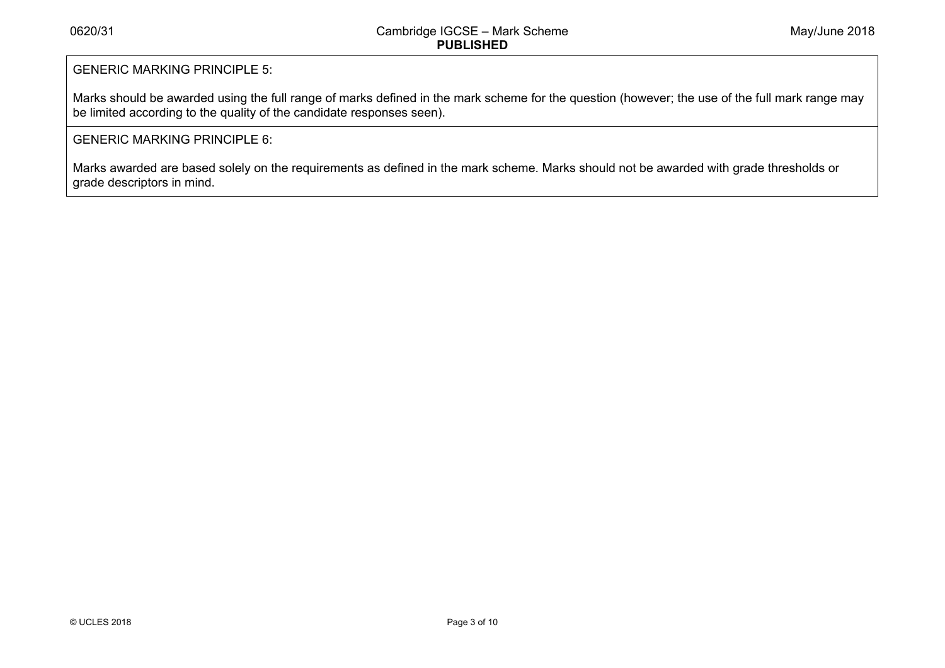# GENERIC MARKING PRINCIPLE 5:

Marks should be awarded using the full range of marks defined in the mark scheme for the question (however; the use of the full mark range may be limited according to the quality of the candidate responses seen).

## GENERIC MARKING PRINCIPLE 6:

Marks awarded are based solely on the requirements as defined in the mark scheme. Marks should not be awarded with grade thresholds or grade descriptors in mind.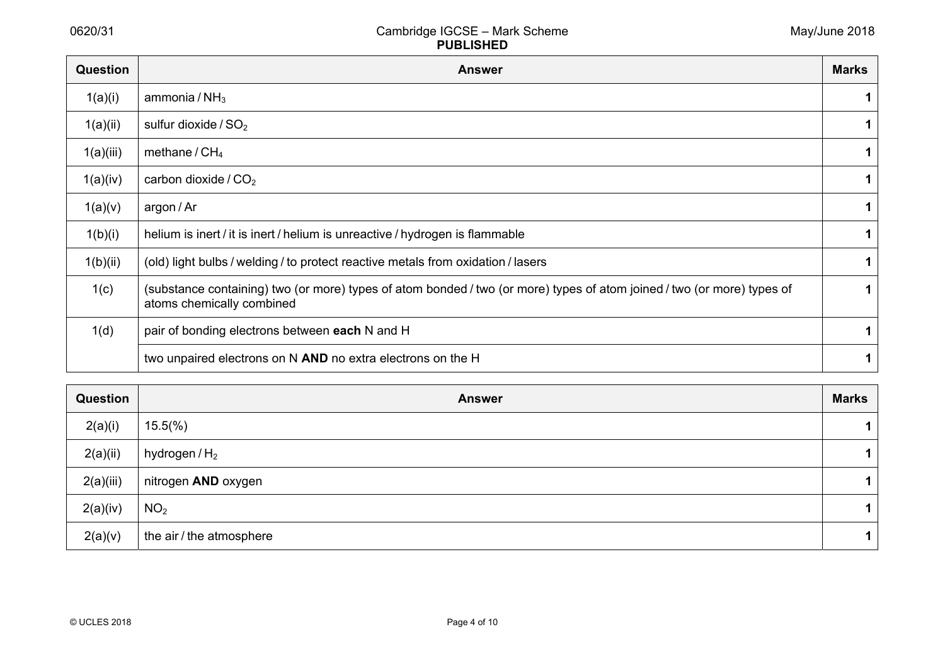| <b>Question</b> | <b>Answer</b>                                                                                                                                        | <b>Marks</b> |
|-----------------|------------------------------------------------------------------------------------------------------------------------------------------------------|--------------|
| 1(a)(i)         | ammonia / $NH3$                                                                                                                                      |              |
| 1(a)(ii)        | sulfur dioxide / $SO2$                                                                                                                               |              |
| 1(a)(iii)       | methane / $CH4$                                                                                                                                      |              |
| 1(a)(iv)        | carbon dioxide / $CO2$                                                                                                                               |              |
| 1(a)(v)         | argon / Ar                                                                                                                                           | 1            |
| 1(b)(i)         | helium is inert / it is inert / helium is unreactive / hydrogen is flammable                                                                         |              |
| 1(b)(ii)        | (old) light bulbs / welding / to protect reactive metals from oxidation / lasers                                                                     |              |
| 1(c)            | (substance containing) two (or more) types of atom bonded / two (or more) types of atom joined / two (or more) types of<br>atoms chemically combined |              |
| 1(d)            | pair of bonding electrons between each N and H                                                                                                       |              |
|                 | two unpaired electrons on N AND no extra electrons on the H                                                                                          |              |

| Question  | <b>Answer</b>            | <b>Marks</b> |
|-----------|--------------------------|--------------|
| 2(a)(i)   | $15.5(\%)$               |              |
| 2(a)(ii)  | hydrogen / $H_2$         |              |
| 2(a)(iii) | nitrogen AND oxygen      |              |
| 2(a)(iv)  | NO <sub>2</sub>          |              |
| 2(a)(v)   | the air / the atmosphere |              |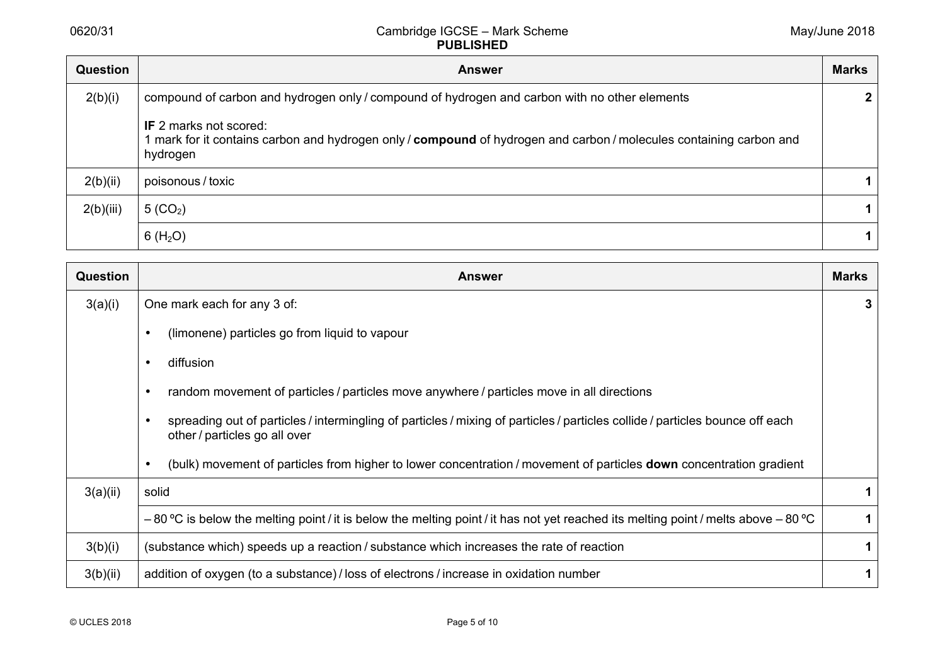| <b>Question</b> | <b>Answer</b>                                                                                                                                             | <b>Marks</b> |
|-----------------|-----------------------------------------------------------------------------------------------------------------------------------------------------------|--------------|
| 2(b)(i)         | compound of carbon and hydrogen only / compound of hydrogen and carbon with no other elements                                                             | $\mathbf{2}$ |
|                 | IF 2 marks not scored:<br>1 mark for it contains carbon and hydrogen only / compound of hydrogen and carbon / molecules containing carbon and<br>hydrogen |              |
| 2(b)(ii)        | poisonous / toxic                                                                                                                                         | 1.           |
| 2(b)(iii)       | 5 (CO <sub>2</sub> )                                                                                                                                      | 1            |
|                 | 6(H <sub>2</sub> O)                                                                                                                                       | 1            |

| <b>Question</b> | <b>Answer</b>                                                                                                                                                               | <b>Marks</b> |
|-----------------|-----------------------------------------------------------------------------------------------------------------------------------------------------------------------------|--------------|
| 3(a)(i)         | One mark each for any 3 of:                                                                                                                                                 | 3            |
|                 | (limonene) particles go from liquid to vapour<br>$\bullet$                                                                                                                  |              |
|                 | diffusion<br>$\bullet$                                                                                                                                                      |              |
|                 | random movement of particles / particles move anywhere / particles move in all directions<br>$\bullet$                                                                      |              |
|                 | spreading out of particles / intermingling of particles / mixing of particles / particles collide / particles bounce off each<br>$\bullet$<br>other / particles go all over |              |
|                 | (bulk) movement of particles from higher to lower concentration / movement of particles <b>down</b> concentration gradient<br>$\bullet$                                     |              |
| 3(a)(ii)        | solid                                                                                                                                                                       |              |
|                 | $-80$ °C is below the melting point / it is below the melting point / it has not yet reached its melting point / melts above $-80$ °C                                       |              |
| 3(b)(i)         | (substance which) speeds up a reaction / substance which increases the rate of reaction                                                                                     |              |
| 3(b)(ii)        | addition of oxygen (to a substance) / loss of electrons / increase in oxidation number                                                                                      |              |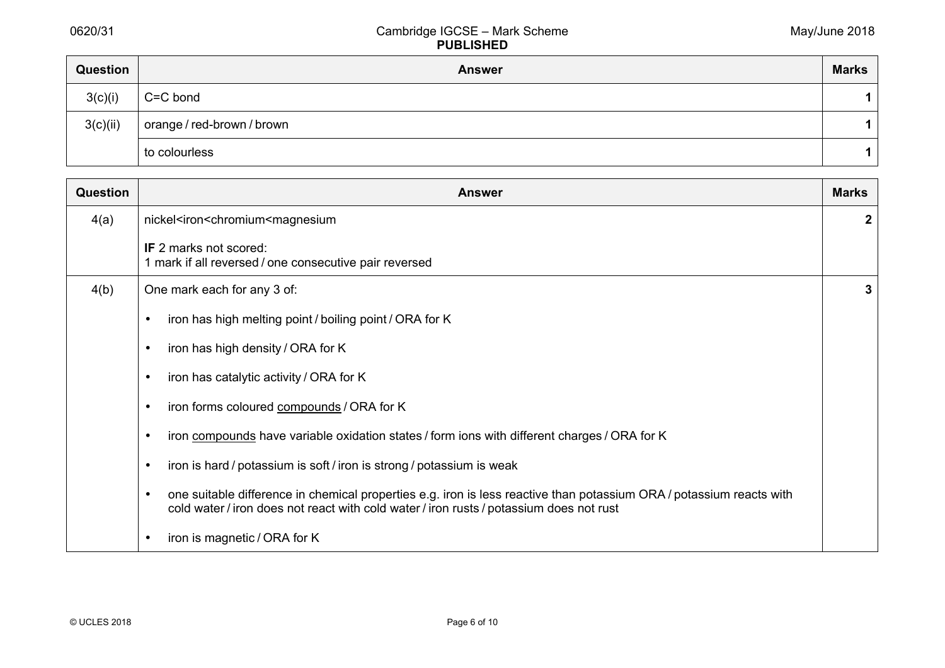| Question | Answer                     | <b>Marks</b> |
|----------|----------------------------|--------------|
| 3(c)(i)  | C=C bond                   |              |
| 3(c)(ii) | orange / red-brown / brown |              |
|          | to colourless              |              |

| <b>Question</b> | <b>Answer</b>                                                                                                                                                                                                                | <b>Marks</b> |
|-----------------|------------------------------------------------------------------------------------------------------------------------------------------------------------------------------------------------------------------------------|--------------|
| 4(a)            | nickel <iron<chromium<magnesium< td=""><td><math>\mathbf{2}</math></td></iron<chromium<magnesium<>                                                                                                                           | $\mathbf{2}$ |
|                 | <b>IF</b> 2 marks not scored:<br>1 mark if all reversed / one consecutive pair reversed                                                                                                                                      |              |
| 4(b)            | One mark each for any 3 of:                                                                                                                                                                                                  | 3            |
|                 | iron has high melting point / boiling point / ORA for K<br>$\bullet$                                                                                                                                                         |              |
|                 | iron has high density / ORA for K<br>$\bullet$                                                                                                                                                                               |              |
|                 | iron has catalytic activity / ORA for K<br>$\bullet$                                                                                                                                                                         |              |
|                 | iron forms coloured compounds / ORA for K<br>$\bullet$                                                                                                                                                                       |              |
|                 | iron compounds have variable oxidation states / form ions with different charges / ORA for K<br>$\bullet$                                                                                                                    |              |
|                 | iron is hard / potassium is soft / iron is strong / potassium is weak<br>$\bullet$                                                                                                                                           |              |
|                 | one suitable difference in chemical properties e.g. iron is less reactive than potassium ORA / potassium reacts with<br>$\bullet$<br>cold water / iron does not react with cold water / iron rusts / potassium does not rust |              |
|                 | iron is magnetic / ORA for K<br>$\bullet$                                                                                                                                                                                    |              |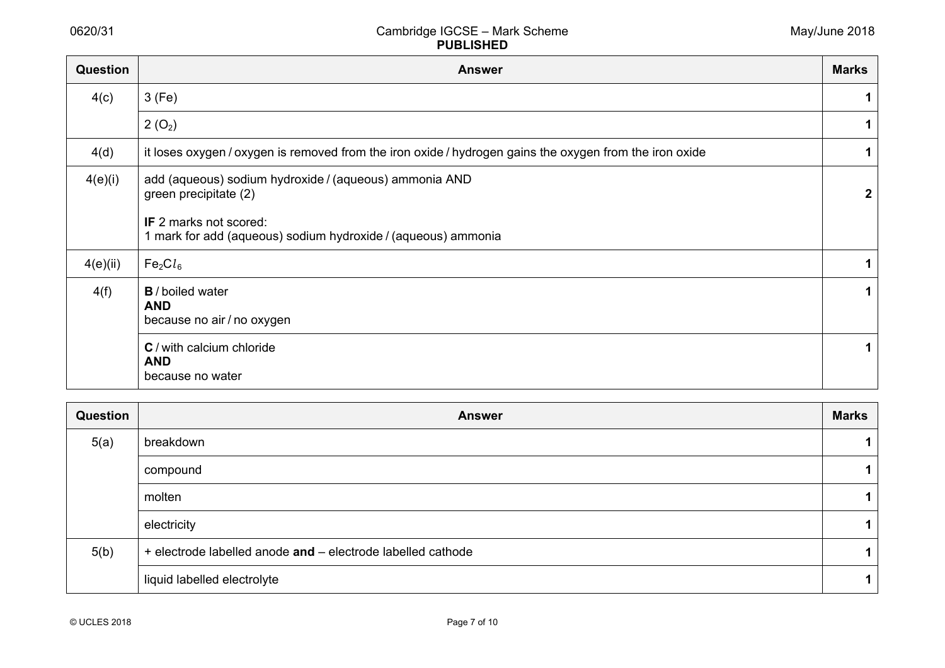| Question | <b>Answer</b>                                                                                           | <b>Marks</b> |
|----------|---------------------------------------------------------------------------------------------------------|--------------|
| 4(c)     | 3(Fe)                                                                                                   |              |
|          | 2(O <sub>2</sub> )                                                                                      | 1            |
| 4(d)     | it loses oxygen / oxygen is removed from the iron oxide / hydrogen gains the oxygen from the iron oxide | 1            |
| 4(e)(i)  | add (aqueous) sodium hydroxide / (aqueous) ammonia AND<br>green precipitate (2)                         | $\mathbf{2}$ |
|          | <b>IF</b> 2 marks not scored:<br>1 mark for add (aqueous) sodium hydroxide / (aqueous) ammonia          |              |
| 4(e)(ii) | Fe <sub>2</sub> Cl <sub>6</sub>                                                                         |              |
| 4(f)     | <b>B</b> / boiled water<br><b>AND</b><br>because no air / no oxygen                                     | 1            |
|          | C / with calcium chloride<br><b>AND</b><br>because no water                                             | 1            |

| Question | <b>Answer</b>                                               | <b>Marks</b> |
|----------|-------------------------------------------------------------|--------------|
| 5(a)     | breakdown                                                   |              |
|          | compound                                                    |              |
|          | molten                                                      |              |
|          | electricity                                                 |              |
| 5(b)     | + electrode labelled anode and - electrode labelled cathode |              |
|          | liquid labelled electrolyte                                 |              |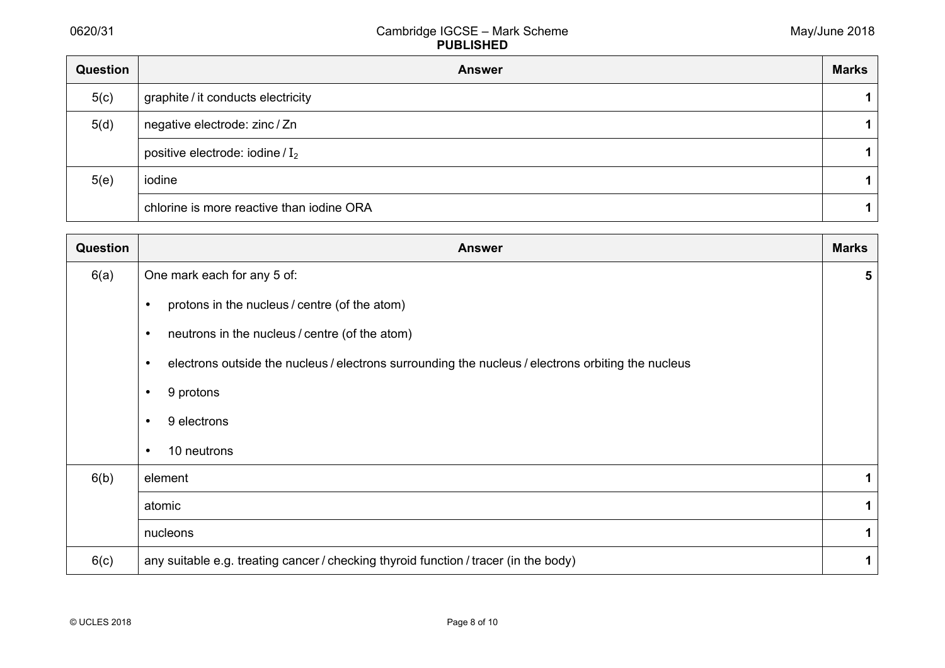| Question | <b>Answer</b>                             | <b>Marks</b> |
|----------|-------------------------------------------|--------------|
| 5(c)     | graphite / it conducts electricity        | 1.           |
| 5(d)     | negative electrode: zinc / Zn             |              |
|          | positive electrode: iodine / $I_2$        | 1.           |
| 5(e)     | iodine                                    |              |
|          | chlorine is more reactive than iodine ORA |              |

| Question | <b>Answer</b>                                                                                                   | <b>Marks</b> |
|----------|-----------------------------------------------------------------------------------------------------------------|--------------|
| 6(a)     | One mark each for any 5 of:                                                                                     | 5            |
|          | protons in the nucleus / centre (of the atom)<br>$\bullet$                                                      |              |
|          | neutrons in the nucleus / centre (of the atom)<br>$\bullet$                                                     |              |
|          | electrons outside the nucleus / electrons surrounding the nucleus / electrons orbiting the nucleus<br>$\bullet$ |              |
|          | 9 protons<br>$\bullet$                                                                                          |              |
|          | 9 electrons<br>$\bullet$                                                                                        |              |
|          | 10 neutrons<br>$\bullet$                                                                                        |              |
| 6(b)     | element                                                                                                         | 1            |
|          | atomic                                                                                                          | 1            |
|          | nucleons                                                                                                        | 1            |
| 6(c)     | any suitable e.g. treating cancer / checking thyroid function / tracer (in the body)                            | 1            |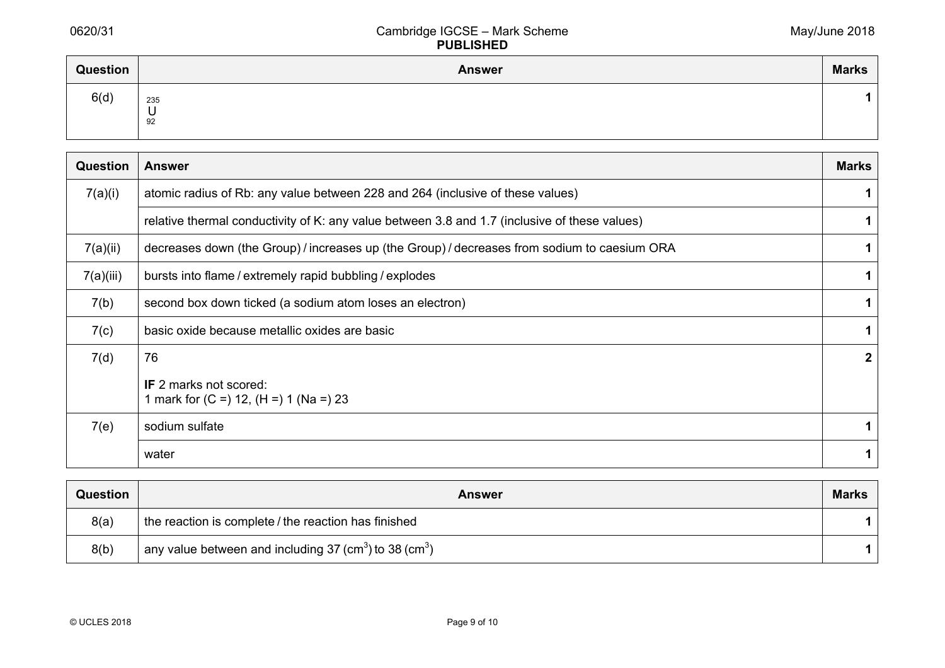| Question | <b>Answer</b>  | <b>Marks</b> |
|----------|----------------|--------------|
| 6(d)     | 235<br>ັ<br>92 |              |

| <b>Question</b> | <b>Answer</b>                                                                                 | <b>Marks</b> |
|-----------------|-----------------------------------------------------------------------------------------------|--------------|
| 7(a)(i)         | atomic radius of Rb: any value between 228 and 264 (inclusive of these values)                | 1            |
|                 | relative thermal conductivity of K: any value between 3.8 and 1.7 (inclusive of these values) | 1.           |
| 7(a)(ii)        | decreases down (the Group) / increases up (the Group) / decreases from sodium to caesium ORA  | 1            |
| 7(a)(iii)       | bursts into flame / extremely rapid bubbling / explodes                                       | $\mathbf 1$  |
| 7(b)            | second box down ticked (a sodium atom loses an electron)                                      | 1            |
| 7(c)            | basic oxide because metallic oxides are basic                                                 | 1            |
| 7(d)            | 76                                                                                            | $\mathbf{2}$ |
|                 | IF 2 marks not scored:<br>1 mark for $(C = 12, (H = 11)$ (Na = 23                             |              |
| 7(e)            | sodium sulfate                                                                                | 1.           |
|                 | water                                                                                         |              |

| Question | <b>Answer</b>                                                                              | <b>Marks</b> |
|----------|--------------------------------------------------------------------------------------------|--------------|
| 8(a)     | the reaction is complete / the reaction has finished                                       |              |
| 8(b)     | $^{\prime}$ any value between and including 37 (cm <sup>3</sup> ) to 38 (cm <sup>3</sup> ) |              |